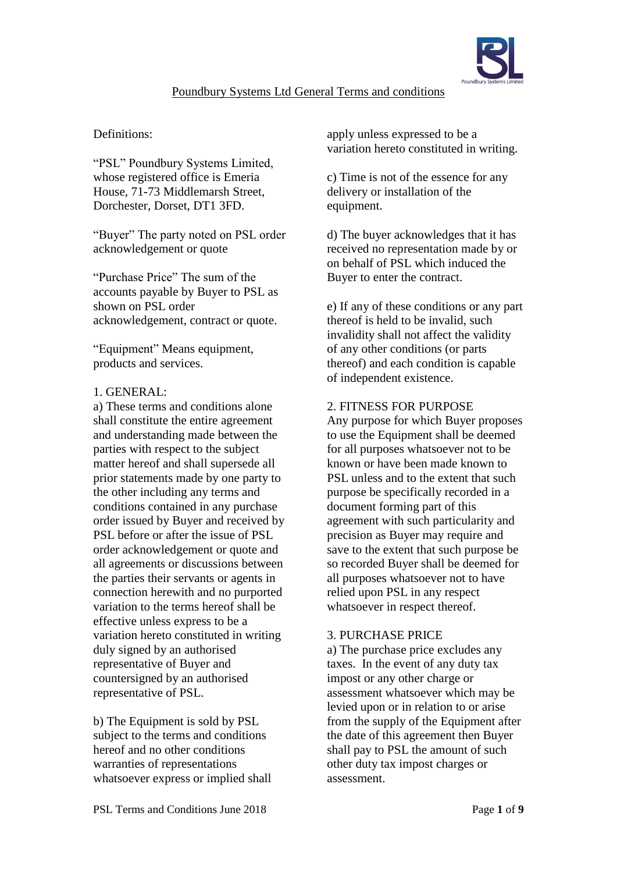

# Poundbury Systems Ltd General Terms and conditions

## Definitions:

"PSL" Poundbury Systems Limited, whose registered office is Emeria House, 71-73 Middlemarsh Street, Dorchester, Dorset, DT1 3FD.

"Buyer" The party noted on PSL order acknowledgement or quote

"Purchase Price" The sum of the accounts payable by Buyer to PSL as shown on PSL order acknowledgement, contract or quote.

"Equipment" Means equipment, products and services.

### 1. GENERAL:

a) These terms and conditions alone shall constitute the entire agreement and understanding made between the parties with respect to the subject matter hereof and shall supersede all prior statements made by one party to the other including any terms and conditions contained in any purchase order issued by Buyer and received by PSL before or after the issue of PSL order acknowledgement or quote and all agreements or discussions between the parties their servants or agents in connection herewith and no purported variation to the terms hereof shall be effective unless express to be a variation hereto constituted in writing duly signed by an authorised representative of Buyer and countersigned by an authorised representative of PSL.

b) The Equipment is sold by PSL subject to the terms and conditions hereof and no other conditions warranties of representations whatsoever express or implied shall apply unless expressed to be a variation hereto constituted in writing.

c) Time is not of the essence for any delivery or installation of the equipment.

d) The buyer acknowledges that it has received no representation made by or on behalf of PSL which induced the Buyer to enter the contract.

e) If any of these conditions or any part thereof is held to be invalid, such invalidity shall not affect the validity of any other conditions (or parts thereof) and each condition is capable of independent existence.

### 2. FITNESS FOR PURPOSE

Any purpose for which Buyer proposes to use the Equipment shall be deemed for all purposes whatsoever not to be known or have been made known to PSL unless and to the extent that such purpose be specifically recorded in a document forming part of this agreement with such particularity and precision as Buyer may require and save to the extent that such purpose be so recorded Buyer shall be deemed for all purposes whatsoever not to have relied upon PSL in any respect whatsoever in respect thereof.

# 3. PURCHASE PRICE

a) The purchase price excludes any taxes. In the event of any duty tax impost or any other charge or assessment whatsoever which may be levied upon or in relation to or arise from the supply of the Equipment after the date of this agreement then Buyer shall pay to PSL the amount of such other duty tax impost charges or assessment.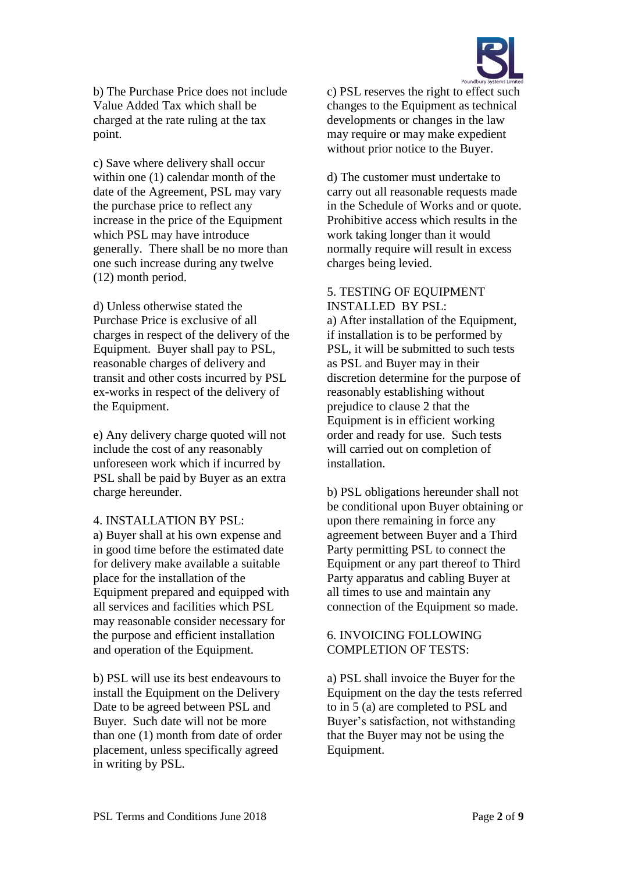

b) The Purchase Price does not include Value Added Tax which shall be charged at the rate ruling at the tax point.

c) Save where delivery shall occur within one (1) calendar month of the date of the Agreement, PSL may vary the purchase price to reflect any increase in the price of the Equipment which PSL may have introduce generally. There shall be no more than one such increase during any twelve (12) month period.

d) Unless otherwise stated the Purchase Price is exclusive of all charges in respect of the delivery of the Equipment. Buyer shall pay to PSL, reasonable charges of delivery and transit and other costs incurred by PSL ex-works in respect of the delivery of the Equipment.

e) Any delivery charge quoted will not include the cost of any reasonably unforeseen work which if incurred by PSL shall be paid by Buyer as an extra charge hereunder.

#### 4. INSTALLATION BY PSL:

a) Buyer shall at his own expense and in good time before the estimated date for delivery make available a suitable place for the installation of the Equipment prepared and equipped with all services and facilities which PSL may reasonable consider necessary for the purpose and efficient installation and operation of the Equipment.

b) PSL will use its best endeavours to install the Equipment on the Delivery Date to be agreed between PSL and Buyer. Such date will not be more than one (1) month from date of order placement, unless specifically agreed in writing by PSL.

c) PSL reserves the right to effect such changes to the Equipment as technical developments or changes in the law may require or may make expedient without prior notice to the Buyer.

d) The customer must undertake to carry out all reasonable requests made in the Schedule of Works and or quote. Prohibitive access which results in the work taking longer than it would normally require will result in excess charges being levied.

#### 5. TESTING OF EQUIPMENT INSTALLED BY PSL:

a) After installation of the Equipment, if installation is to be performed by PSL, it will be submitted to such tests as PSL and Buyer may in their discretion determine for the purpose of reasonably establishing without prejudice to clause 2 that the Equipment is in efficient working order and ready for use. Such tests will carried out on completion of installation.

b) PSL obligations hereunder shall not be conditional upon Buyer obtaining or upon there remaining in force any agreement between Buyer and a Third Party permitting PSL to connect the Equipment or any part thereof to Third Party apparatus and cabling Buyer at all times to use and maintain any connection of the Equipment so made.

### 6. INVOICING FOLLOWING COMPLETION OF TESTS:

a) PSL shall invoice the Buyer for the Equipment on the day the tests referred to in 5 (a) are completed to PSL and Buyer's satisfaction, not withstanding that the Buyer may not be using the Equipment.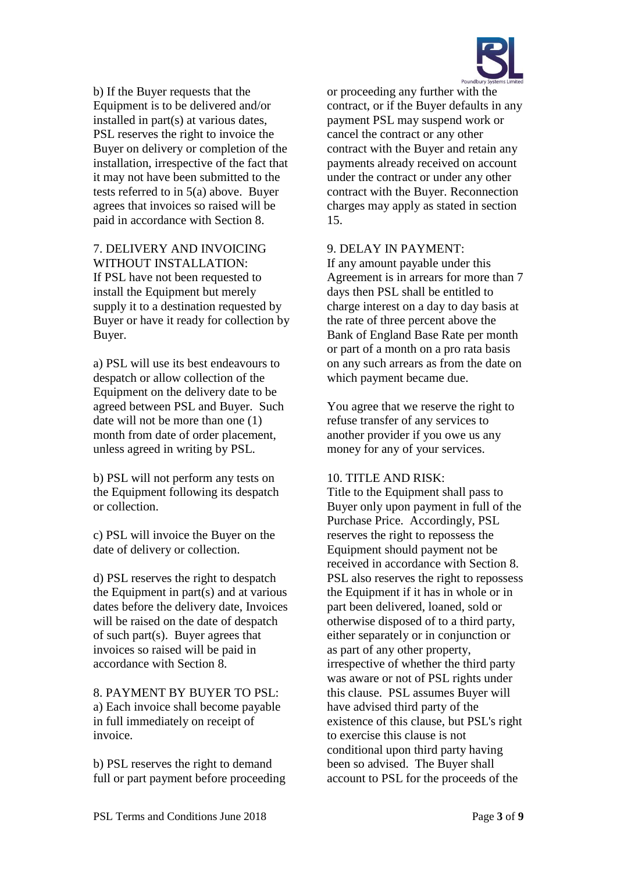

b) If the Buyer requests that the Equipment is to be delivered and/or installed in part(s) at various dates, PSL reserves the right to invoice the Buyer on delivery or completion of the installation, irrespective of the fact that it may not have been submitted to the tests referred to in 5(a) above. Buyer agrees that invoices so raised will be paid in accordance with Section 8.

# 7. DELIVERY AND INVOICING WITHOUT INSTALLATION: If PSL have not been requested to install the Equipment but merely supply it to a destination requested by Buyer or have it ready for collection by Buyer.

a) PSL will use its best endeavours to despatch or allow collection of the Equipment on the delivery date to be agreed between PSL and Buyer. Such date will not be more than one (1) month from date of order placement, unless agreed in writing by PSL.

b) PSL will not perform any tests on the Equipment following its despatch or collection.

c) PSL will invoice the Buyer on the date of delivery or collection.

d) PSL reserves the right to despatch the Equipment in part(s) and at various dates before the delivery date, Invoices will be raised on the date of despatch of such part(s). Buyer agrees that invoices so raised will be paid in accordance with Section 8.

8. PAYMENT BY BUYER TO PSL: a) Each invoice shall become payable in full immediately on receipt of invoice.

b) PSL reserves the right to demand full or part payment before proceeding

or proceeding any further with the contract, or if the Buyer defaults in any payment PSL may suspend work or cancel the contract or any other contract with the Buyer and retain any payments already received on account under the contract or under any other contract with the Buyer. Reconnection charges may apply as stated in section 15.

### 9. DELAY IN PAYMENT:

If any amount payable under this Agreement is in arrears for more than 7 days then PSL shall be entitled to charge interest on a day to day basis at the rate of three percent above the Bank of England Base Rate per month or part of a month on a pro rata basis on any such arrears as from the date on which payment became due.

You agree that we reserve the right to refuse transfer of any services to another provider if you owe us any money for any of your services.

#### 10. TITLE AND RISK:

Title to the Equipment shall pass to Buyer only upon payment in full of the Purchase Price. Accordingly, PSL reserves the right to repossess the Equipment should payment not be received in accordance with Section 8. PSL also reserves the right to repossess the Equipment if it has in whole or in part been delivered, loaned, sold or otherwise disposed of to a third party, either separately or in conjunction or as part of any other property, irrespective of whether the third party was aware or not of PSL rights under this clause. PSL assumes Buyer will have advised third party of the existence of this clause, but PSL's right to exercise this clause is not conditional upon third party having been so advised. The Buyer shall account to PSL for the proceeds of the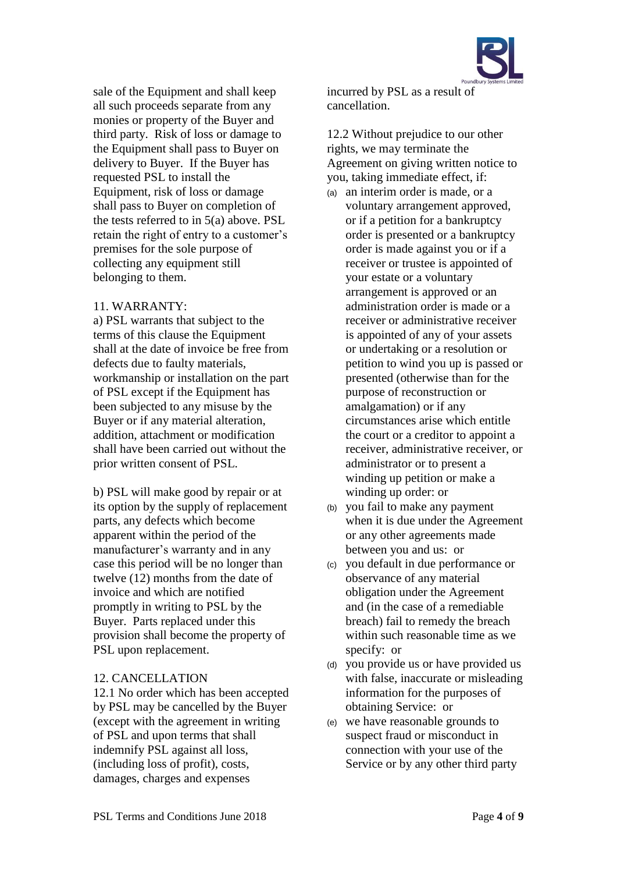sale of the Equipment and shall keep all such proceeds separate from any monies or property of the Buyer and third party. Risk of loss or damage to the Equipment shall pass to Buyer on delivery to Buyer. If the Buyer has requested PSL to install the Equipment, risk of loss or damage shall pass to Buyer on completion of the tests referred to in 5(a) above. PSL retain the right of entry to a customer's premises for the sole purpose of collecting any equipment still belonging to them.

### 11. WARRANTY:

a) PSL warrants that subject to the terms of this clause the Equipment shall at the date of invoice be free from defects due to faulty materials, workmanship or installation on the part of PSL except if the Equipment has been subjected to any misuse by the Buyer or if any material alteration, addition, attachment or modification shall have been carried out without the prior written consent of PSL.

b) PSL will make good by repair or at its option by the supply of replacement parts, any defects which become apparent within the period of the manufacturer's warranty and in any case this period will be no longer than twelve (12) months from the date of invoice and which are notified promptly in writing to PSL by the Buyer. Parts replaced under this provision shall become the property of PSL upon replacement.

# 12. CANCELLATION

12.1 No order which has been accepted by PSL may be cancelled by the Buyer (except with the agreement in writing of PSL and upon terms that shall indemnify PSL against all loss, (including loss of profit), costs, damages, charges and expenses

incurred by PSL as a result of cancellation.

12.2 Without prejudice to our other rights, we may terminate the Agreement on giving written notice to you, taking immediate effect, if:

- (a) an interim order is made, or a voluntary arrangement approved, or if a petition for a bankruptcy order is presented or a bankruptcy order is made against you or if a receiver or trustee is appointed of your estate or a voluntary arrangement is approved or an administration order is made or a receiver or administrative receiver is appointed of any of your assets or undertaking or a resolution or petition to wind you up is passed or presented (otherwise than for the purpose of reconstruction or amalgamation) or if any circumstances arise which entitle the court or a creditor to appoint a receiver, administrative receiver, or administrator or to present a winding up petition or make a winding up order: or
- (b) you fail to make any payment when it is due under the Agreement or any other agreements made between you and us: or
- (c) you default in due performance or observance of any material obligation under the Agreement and (in the case of a remediable breach) fail to remedy the breach within such reasonable time as we specify: or
- (d) you provide us or have provided us with false, inaccurate or misleading information for the purposes of obtaining Service: or
- (e) we have reasonable grounds to suspect fraud or misconduct in connection with your use of the Service or by any other third party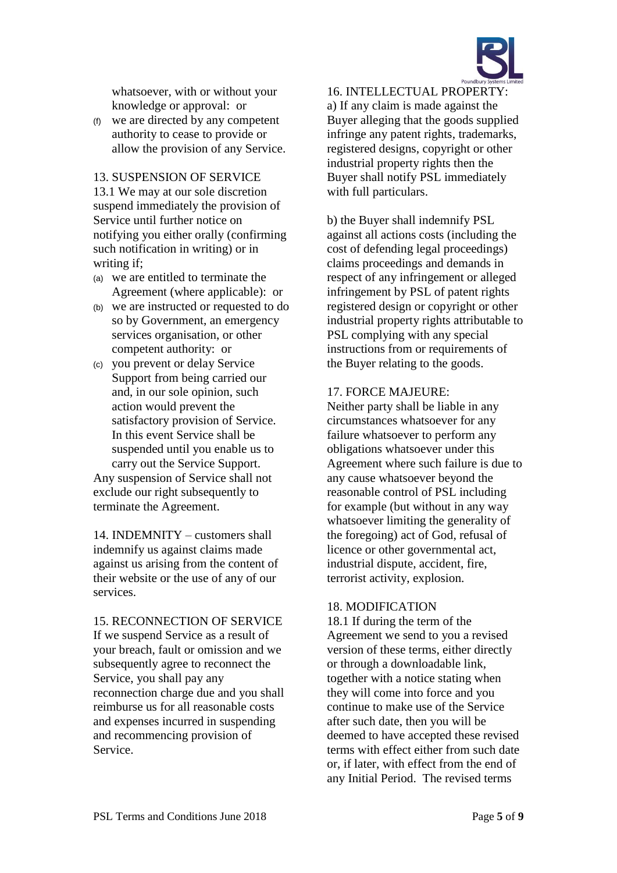

whatsoever, with or without your knowledge or approval: or

(f) we are directed by any competent authority to cease to provide or allow the provision of any Service.

### 13. SUSPENSION OF SERVICE

13.1 We may at our sole discretion suspend immediately the provision of Service until further notice on notifying you either orally (confirming such notification in writing) or in writing if;

- (a) we are entitled to terminate the Agreement (where applicable): or
- (b) we are instructed or requested to do so by Government, an emergency services organisation, or other competent authority: or
- (c) you prevent or delay Service Support from being carried our and, in our sole opinion, such action would prevent the satisfactory provision of Service. In this event Service shall be suspended until you enable us to carry out the Service Support. Any suspension of Service shall not

exclude our right subsequently to terminate the Agreement.

14. INDEMNITY – customers shall indemnify us against claims made against us arising from the content of their website or the use of any of our services.

15. RECONNECTION OF SERVICE If we suspend Service as a result of your breach, fault or omission and we subsequently agree to reconnect the Service, you shall pay any reconnection charge due and you shall reimburse us for all reasonable costs and expenses incurred in suspending and recommencing provision of Service.

16. INTELLECTUAL PROPERTY: a) If any claim is made against the Buyer alleging that the goods supplied infringe any patent rights, trademarks, registered designs, copyright or other industrial property rights then the Buyer shall notify PSL immediately with full particulars.

b) the Buyer shall indemnify PSL against all actions costs (including the cost of defending legal proceedings) claims proceedings and demands in respect of any infringement or alleged infringement by PSL of patent rights registered design or copyright or other industrial property rights attributable to PSL complying with any special instructions from or requirements of the Buyer relating to the goods.

#### 17. FORCE MAJEURE:

Neither party shall be liable in any circumstances whatsoever for any failure whatsoever to perform any obligations whatsoever under this Agreement where such failure is due to any cause whatsoever beyond the reasonable control of PSL including for example (but without in any way whatsoever limiting the generality of the foregoing) act of God, refusal of licence or other governmental act, industrial dispute, accident, fire, terrorist activity, explosion.

### 18. MODIFICATION

18.1 If during the term of the Agreement we send to you a revised version of these terms, either directly or through a downloadable link, together with a notice stating when they will come into force and you continue to make use of the Service after such date, then you will be deemed to have accepted these revised terms with effect either from such date or, if later, with effect from the end of any Initial Period. The revised terms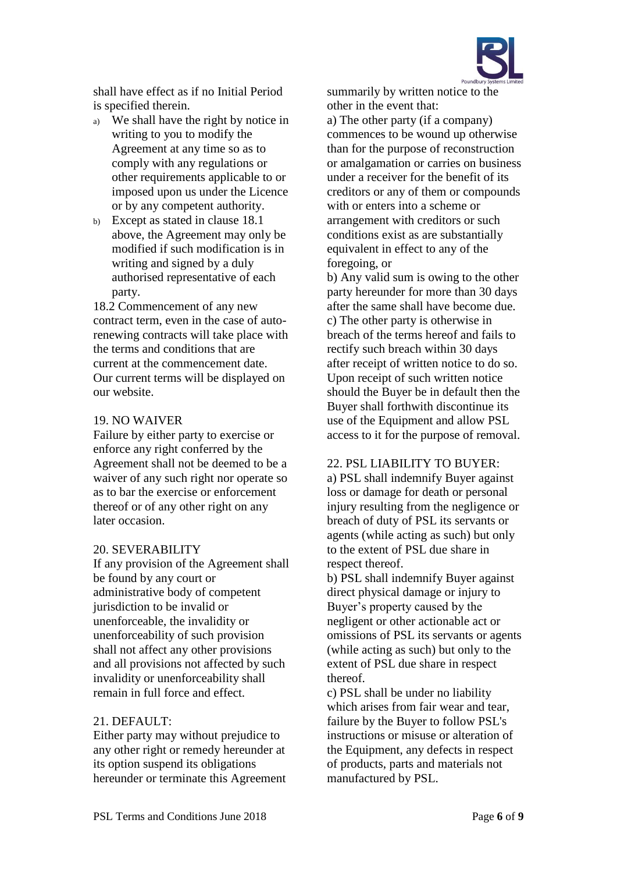

shall have effect as if no Initial Period is specified therein.

- a) We shall have the right by notice in writing to you to modify the Agreement at any time so as to comply with any regulations or other requirements applicable to or imposed upon us under the Licence or by any competent authority.
- b) Except as stated in clause 18.1 above, the Agreement may only be modified if such modification is in writing and signed by a duly authorised representative of each party.

18.2 Commencement of any new contract term, even in the case of autorenewing contracts will take place with the terms and conditions that are current at the commencement date. Our current terms will be displayed on our website.

#### 19. NO WAIVER

Failure by either party to exercise or enforce any right conferred by the Agreement shall not be deemed to be a waiver of any such right nor operate so as to bar the exercise or enforcement thereof or of any other right on any later occasion.

### 20. SEVERABILITY

If any provision of the Agreement shall be found by any court or administrative body of competent jurisdiction to be invalid or unenforceable, the invalidity or unenforceability of such provision shall not affect any other provisions and all provisions not affected by such invalidity or unenforceability shall remain in full force and effect.

### 21. DEFAULT:

Either party may without prejudice to any other right or remedy hereunder at its option suspend its obligations hereunder or terminate this Agreement summarily by written notice to the other in the event that:

a) The other party (if a company) commences to be wound up otherwise than for the purpose of reconstruction or amalgamation or carries on business under a receiver for the benefit of its creditors or any of them or compounds with or enters into a scheme or arrangement with creditors or such conditions exist as are substantially equivalent in effect to any of the foregoing, or

b) Any valid sum is owing to the other party hereunder for more than 30 days after the same shall have become due. c) The other party is otherwise in breach of the terms hereof and fails to rectify such breach within 30 days after receipt of written notice to do so. Upon receipt of such written notice should the Buyer be in default then the Buyer shall forthwith discontinue its use of the Equipment and allow PSL access to it for the purpose of removal.

#### 22. PSL LIABILITY TO BUYER:

a) PSL shall indemnify Buyer against loss or damage for death or personal injury resulting from the negligence or breach of duty of PSL its servants or agents (while acting as such) but only to the extent of PSL due share in respect thereof.

b) PSL shall indemnify Buyer against direct physical damage or injury to Buyer's property caused by the negligent or other actionable act or omissions of PSL its servants or agents (while acting as such) but only to the extent of PSL due share in respect thereof.

c) PSL shall be under no liability which arises from fair wear and tear, failure by the Buyer to follow PSL's instructions or misuse or alteration of the Equipment, any defects in respect of products, parts and materials not manufactured by PSL.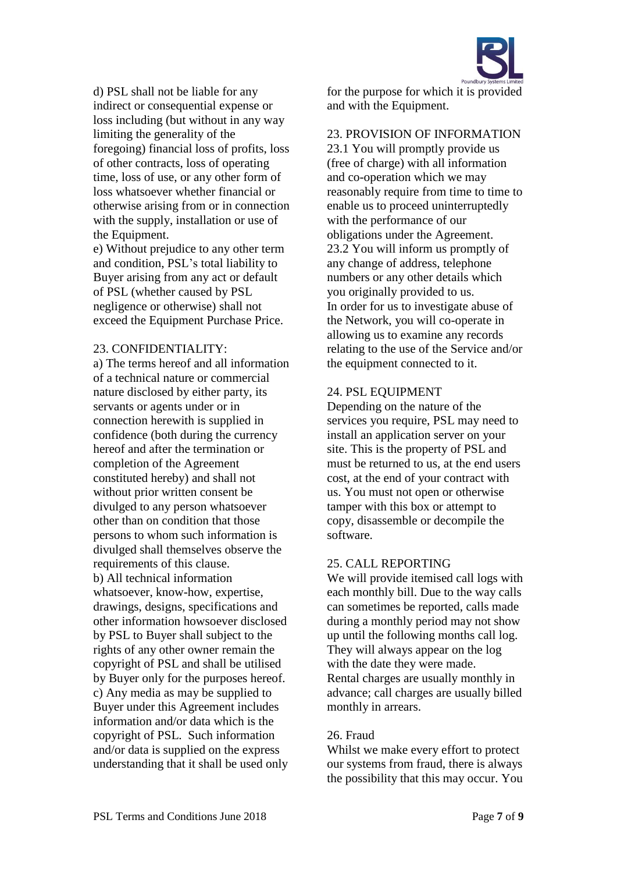

d) PSL shall not be liable for any indirect or consequential expense or loss including (but without in any way limiting the generality of the foregoing) financial loss of profits, loss of other contracts, loss of operating time, loss of use, or any other form of loss whatsoever whether financial or otherwise arising from or in connection with the supply, installation or use of the Equipment.

e) Without prejudice to any other term and condition, PSL's total liability to Buyer arising from any act or default of PSL (whether caused by PSL negligence or otherwise) shall not exceed the Equipment Purchase Price.

#### 23. CONFIDENTIALITY:

a) The terms hereof and all information of a technical nature or commercial nature disclosed by either party, its servants or agents under or in connection herewith is supplied in confidence (both during the currency hereof and after the termination or completion of the Agreement constituted hereby) and shall not without prior written consent be divulged to any person whatsoever other than on condition that those persons to whom such information is divulged shall themselves observe the requirements of this clause. b) All technical information whatsoever, know-how, expertise, drawings, designs, specifications and other information howsoever disclosed by PSL to Buyer shall subject to the rights of any other owner remain the copyright of PSL and shall be utilised by Buyer only for the purposes hereof. c) Any media as may be supplied to Buyer under this Agreement includes information and/or data which is the copyright of PSL. Such information and/or data is supplied on the express understanding that it shall be used only

for the purpose for which it is provided and with the Equipment.

### 23. PROVISION OF INFORMATION

23.1 You will promptly provide us (free of charge) with all information and co-operation which we may reasonably require from time to time to enable us to proceed uninterruptedly with the performance of our obligations under the Agreement. 23.2 You will inform us promptly of any change of address, telephone numbers or any other details which you originally provided to us. In order for us to investigate abuse of the Network, you will co-operate in allowing us to examine any records relating to the use of the Service and/or the equipment connected to it.

### 24. PSL EQUIPMENT

Depending on the nature of the services you require, PSL may need to install an application server on your site. This is the property of PSL and must be returned to us, at the end users cost, at the end of your contract with us. You must not open or otherwise tamper with this box or attempt to copy, disassemble or decompile the software.

# 25. CALL REPORTING

We will provide itemised call logs with each monthly bill. Due to the way calls can sometimes be reported, calls made during a monthly period may not show up until the following months call log. They will always appear on the log with the date they were made. Rental charges are usually monthly in advance; call charges are usually billed monthly in arrears.

# 26. Fraud

Whilst we make every effort to protect our systems from fraud, there is always the possibility that this may occur. You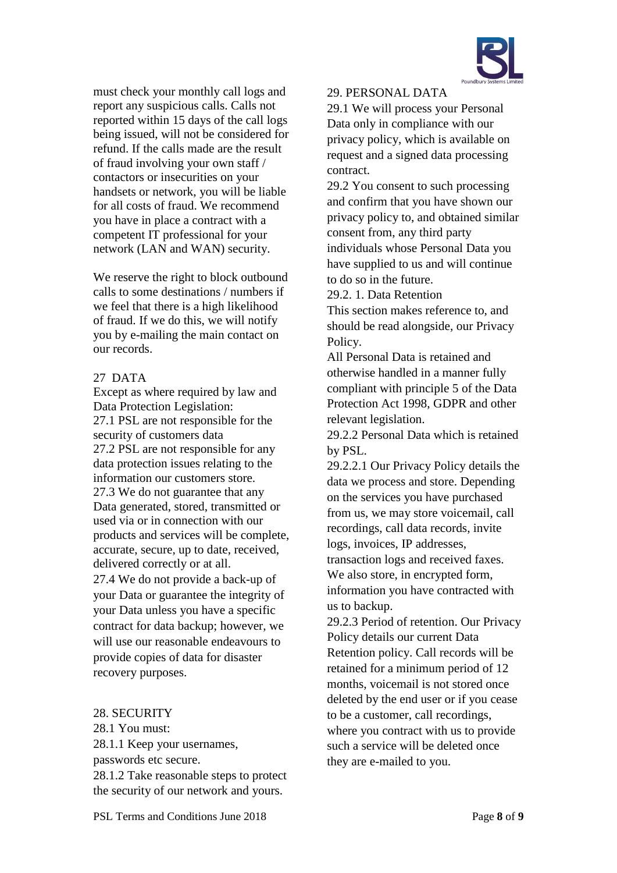

must check your monthly call logs and report any suspicious calls. Calls not reported within 15 days of the call logs being issued, will not be considered for refund. If the calls made are the result of fraud involving your own staff / contactors or insecurities on your handsets or network, you will be liable for all costs of fraud. We recommend you have in place a contract with a competent IT professional for your network (LAN and WAN) security.

We reserve the right to block outbound calls to some destinations / numbers if we feel that there is a high likelihood of fraud. If we do this, we will notify you by e-mailing the main contact on our records.

# 27 DATA

Except as where required by law and Data Protection Legislation: 27.1 PSL are not responsible for the security of customers data 27.2 PSL are not responsible for any data protection issues relating to the information our customers store. 27.3 We do not guarantee that any Data generated, stored, transmitted or used via or in connection with our products and services will be complete, accurate, secure, up to date, received, delivered correctly or at all. 27.4 We do not provide a back-up of your Data or guarantee the integrity of your Data unless you have a specific contract for data backup; however, we will use our reasonable endeavours to provide copies of data for disaster recovery purposes.

### 28. SECURITY

28.1 You must:

28.1.1 Keep your usernames, passwords etc secure. 28.1.2 Take reasonable steps to protect the security of our network and yours.

## 29. PERSONAL DATA

29.1 We will process your Personal Data only in compliance with our privacy policy, which is available on request and a signed data processing contract.

29.2 You consent to such processing and confirm that you have shown our privacy policy to, and obtained similar consent from, any third party individuals whose Personal Data you have supplied to us and will continue to do so in the future.

29.2. 1. Data Retention

This section makes reference to, and should be read alongside, our [Privacy](http://www.gradwell.com/privacy)  [Policy.](http://www.gradwell.com/privacy)

All Personal Data is retained and otherwise handled in a manner fully compliant with principle 5 of the Data Protection Act 1998, GDPR and other relevant legislation.

29.2.2 Personal Data which is retained by PSL.

29.2.2.1 Our Privacy Policy details the data we process and store. Depending on the services you have purchased from us, we may store voicemail, call recordings, call data records, invite logs, invoices, IP addresses,

transaction logs and received faxes. We also store, in encrypted form, information you have contracted with us to backup.

29.2.3 Period of retention. Our Privacy Policy details our current Data Retention policy. Call records will be retained for a minimum period of 12 months, voicemail is not stored once deleted by the end user or if you cease to be a customer, call recordings, where you contract with us to provide such a service will be deleted once they are e-mailed to you.